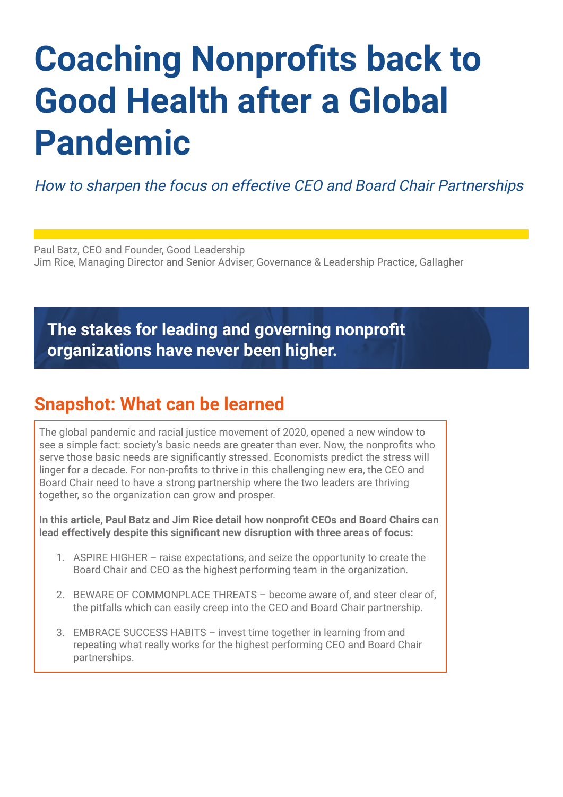# **Coaching Nonprofits back to Good Health after a Global Pandemic**

How to sharpen the focus on effective CEO and Board Chair Partnerships

Paul Batz, CEO and Founder, Good Leadership Jim Rice, Managing Director and Senior Adviser, Governance & Leadership Practice, Gallagher

# **The stakes for leading and governing nonprofit organizations have never been higher.**

# **Snapshot: What can be learned**

The global pandemic and racial justice movement of 2020, opened a new window to see a simple fact: society's basic needs are greater than ever. Now, the nonprofits who serve those basic needs are significantly stressed. Economists predict the stress will linger for a decade. For non-profits to thrive in this challenging new era, the CEO and Board Chair need to have a strong partnership where the two leaders are thriving together, so the organization can grow and prosper.

**In this article, Paul Batz and Jim Rice detail how nonprofit CEOs and Board Chairs can lead effectively despite this significant new disruption with three areas of focus:** 

- 1. ASPIRE HIGHER raise expectations, and seize the opportunity to create the Board Chair and CEO as the highest performing team in the organization.
- 2. BEWARE OF COMMONPLACE THREATS become aware of, and steer clear of, the pitfalls which can easily creep into the CEO and Board Chair partnership.
- 3. EMBRACE SUCCESS HABITS invest time together in learning from and repeating what really works for the highest performing CEO and Board Chair partnerships.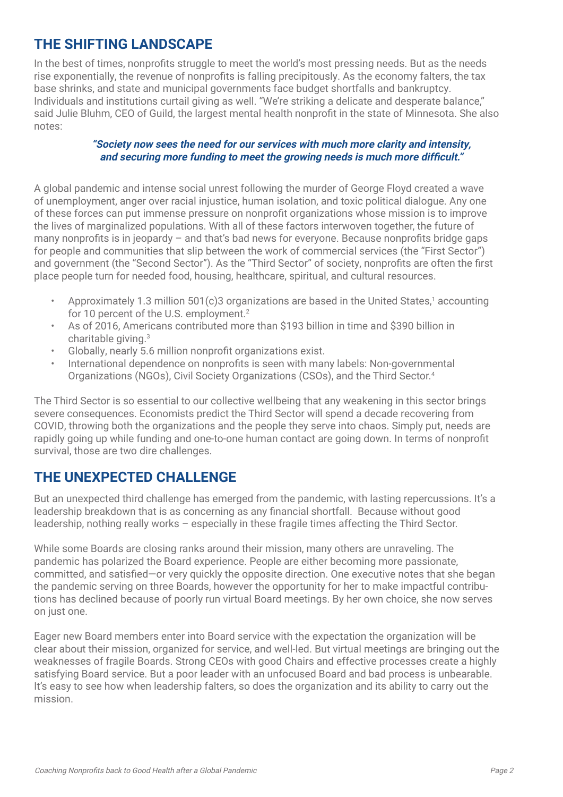## **THE SHIFTING LANDSCAPE**

In the best of times, nonprofits struggle to meet the world's most pressing needs. But as the needs rise exponentially, the revenue of nonprofits is falling precipitously. As the economy falters, the tax base shrinks, and state and municipal governments face budget shortfalls and bankruptcy. Individuals and institutions curtail giving as well. "We're striking a delicate and desperate balance," said Julie Bluhm, CEO of Guild, the largest mental health nonprofit in the state of Minnesota. She also notes:

#### **"Society now sees the need for our services with much more clarity and intensity, and securing more funding to meet the growing needs is much more difficult."**

A global pandemic and intense social unrest following the murder of George Floyd created a wave of unemployment, anger over racial injustice, human isolation, and toxic political dialogue. Any one of these forces can put immense pressure on nonprofit organizations whose mission is to improve the lives of marginalized populations. With all of these factors interwoven together, the future of many nonprofits is in jeopardy – and that's bad news for everyone. Because nonprofits bridge gaps for people and communities that slip between the work of commercial services (the "First Sector") and government (the "Second Sector"). As the "Third Sector" of society, nonprofits are often the first place people turn for needed food, housing, healthcare, spiritual, and cultural resources.

- Approximately 1.3 million 501(c)3 organizations are based in the United States,<sup>1</sup> accounting for 10 percent of the U.S. employment.<sup>2</sup>
- As of 2016, Americans contributed more than \$193 billion in time and \$390 billion in charitable giving.3
- Globally, nearly 5.6 million nonprofit organizations exist.
- International dependence on nonprofits is seen with many labels: Non-governmental Organizations (NGOs), Civil Society Organizations (CSOs), and the Third Sector.4

The Third Sector is so essential to our collective wellbeing that any weakening in this sector brings severe consequences. Economists predict the Third Sector will spend a decade recovering from COVID, throwing both the organizations and the people they serve into chaos. Simply put, needs are rapidly going up while funding and one-to-one human contact are going down. In terms of nonprofit survival, those are two dire challenges.

## **THE UNEXPECTED CHALLENGE**

But an unexpected third challenge has emerged from the pandemic, with lasting repercussions. It's a leadership breakdown that is as concerning as any financial shortfall. Because without good leadership, nothing really works – especially in these fragile times affecting the Third Sector.

While some Boards are closing ranks around their mission, many others are unraveling. The pandemic has polarized the Board experience. People are either becoming more passionate, committed, and satisfied—or very quickly the opposite direction. One executive notes that she began the pandemic serving on three Boards, however the opportunity for her to make impactful contributions has declined because of poorly run virtual Board meetings. By her own choice, she now serves on just one.

Eager new Board members enter into Board service with the expectation the organization will be clear about their mission, organized for service, and well-led. But virtual meetings are bringing out the weaknesses of fragile Boards. Strong CEOs with good Chairs and effective processes create a highly satisfying Board service. But a poor leader with an unfocused Board and bad process is unbearable. It's easy to see how when leadership falters, so does the organization and its ability to carry out the mission.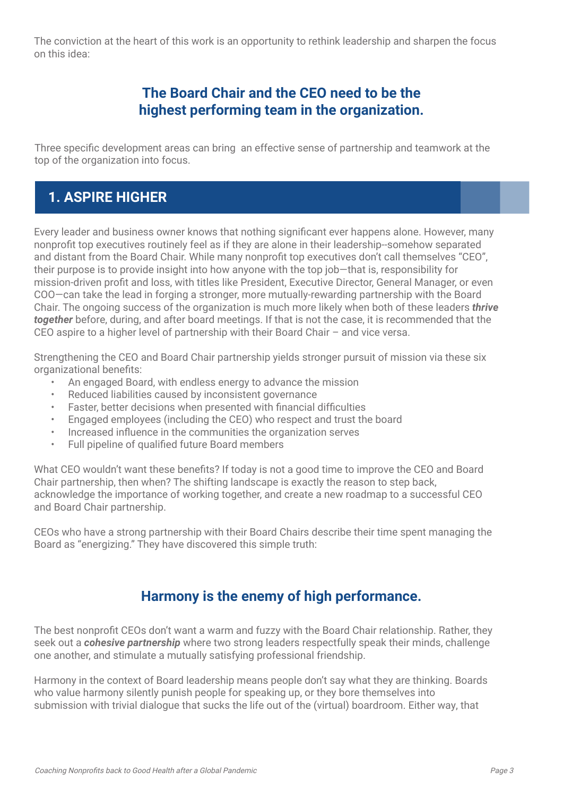The conviction at the heart of this work is an opportunity to rethink leadership and sharpen the focus on this idea:

## **The Board Chair and the CEO need to be the highest performing team in the organization.**

Three specific development areas can bring an effective sense of partnership and teamwork at the top of the organization into focus.

## **1. ASPIRE HIGHER**

Every leader and business owner knows that nothing significant ever happens alone. However, many nonprofit top executives routinely feel as if they are alone in their leadership--somehow separated and distant from the Board Chair. While many nonprofit top executives don't call themselves "CEO", their purpose is to provide insight into how anyone with the top job—that is, responsibility for mission-driven profit and loss, with titles like President, Executive Director, General Manager, or even COO—can take the lead in forging a stronger, more mutually-rewarding partnership with the Board Chair. The ongoing success of the organization is much more likely when both of these leaders *thrive together* before, during, and after board meetings. If that is not the case, it is recommended that the CEO aspire to a higher level of partnership with their Board Chair – and vice versa.

Strengthening the CEO and Board Chair partnership yields stronger pursuit of mission via these six organizational benefits:

- An engaged Board, with endless energy to advance the mission
- Reduced liabilities caused by inconsistent governance
- Faster, better decisions when presented with financial difficulties
- Engaged employees (including the CEO) who respect and trust the board
- Increased influence in the communities the organization serves
- Full pipeline of qualified future Board members

What CEO wouldn't want these benefits? If today is not a good time to improve the CEO and Board Chair partnership, then when? The shifting landscape is exactly the reason to step back, acknowledge the importance of working together, and create a new roadmap to a successful CEO and Board Chair partnership.

CEOs who have a strong partnership with their Board Chairs describe their time spent managing the Board as "energizing." They have discovered this simple truth:

## **Harmony is the enemy of high performance.**

The best nonprofit CEOs don't want a warm and fuzzy with the Board Chair relationship. Rather, they seek out a *cohesive partnership* where two strong leaders respectfully speak their minds, challenge one another, and stimulate a mutually satisfying professional friendship.

Harmony in the context of Board leadership means people don't say what they are thinking. Boards who value harmony silently punish people for speaking up, or they bore themselves into submission with trivial dialogue that sucks the life out of the (virtual) boardroom. Either way, that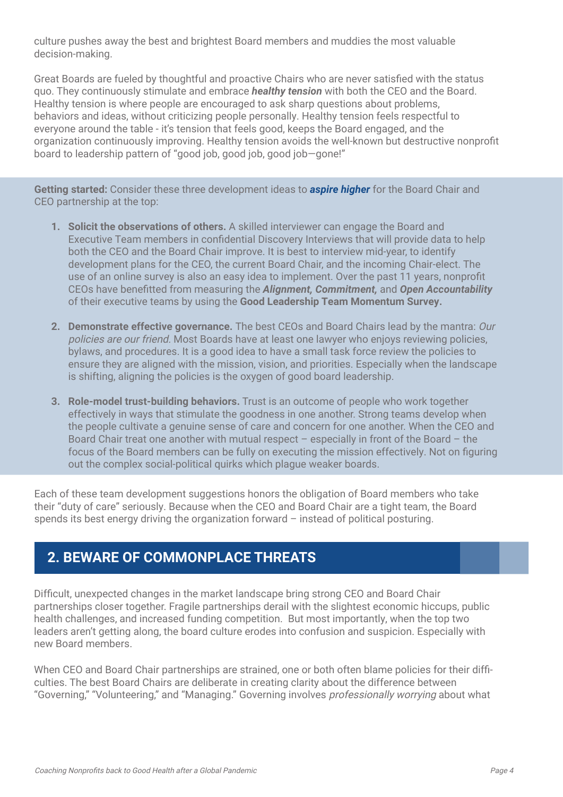culture pushes away the best and brightest Board members and muddies the most valuable decision-making.

Great Boards are fueled by thoughtful and proactive Chairs who are never satisfied with the status quo. They continuously stimulate and embrace *healthy tension* with both the CEO and the Board. Healthy tension is where people are encouraged to ask sharp questions about problems, behaviors and ideas, without criticizing people personally. Healthy tension feels respectful to everyone around the table - it's tension that feels good, keeps the Board engaged, and the organization continuously improving. Healthy tension avoids the well-known but destructive nonprofit board to leadership pattern of "good job, good job, good job—gone!"

**Getting started:** Consider these three development ideas to *aspire higher* for the Board Chair and CEO partnership at the top:

- **1. Solicit the observations of others.** A skilled interviewer can engage the Board and Executive Team members in confidential Discovery Interviews that will provide data to help both the CEO and the Board Chair improve. It is best to interview mid-year, to identify development plans for the CEO, the current Board Chair, and the incoming Chair-elect. The use of an online survey is also an easy idea to implement. Over the past 11 years, nonprofit CEOs have benefitted from measuring the *Alignment, Commitment,* and *Open Accountability*  of their executive teams by using the **Good Leadership Team Momentum Survey.**
- **2. Demonstrate effective governance.** The best CEOs and Board Chairs lead by the mantra: Our policies are our friend. Most Boards have at least one lawyer who enjoys reviewing policies, bylaws, and procedures. It is a good idea to have a small task force review the policies to ensure they are aligned with the mission, vision, and priorities. Especially when the landscape is shifting, aligning the policies is the oxygen of good board leadership.
- **3. Role-model trust-building behaviors.** Trust is an outcome of people who work together effectively in ways that stimulate the goodness in one another. Strong teams develop when the people cultivate a genuine sense of care and concern for one another. When the CEO and Board Chair treat one another with mutual respect  $-$  especially in front of the Board  $-$  the focus of the Board members can be fully on executing the mission effectively. Not on figuring out the complex social-political quirks which plague weaker boards.

Each of these team development suggestions honors the obligation of Board members who take their "duty of care" seriously. Because when the CEO and Board Chair are a tight team, the Board spends its best energy driving the organization forward – instead of political posturing.

## **2. BEWARE OF COMMONPLACE THREATS**

Difficult, unexpected changes in the market landscape bring strong CEO and Board Chair partnerships closer together. Fragile partnerships derail with the slightest economic hiccups, public health challenges, and increased funding competition. But most importantly, when the top two leaders aren't getting along, the board culture erodes into confusion and suspicion. Especially with new Board members.

When CEO and Board Chair partnerships are strained, one or both often blame policies for their difficulties. The best Board Chairs are deliberate in creating clarity about the difference between "Governing," "Volunteering," and "Managing." Governing involves professionally worrying about what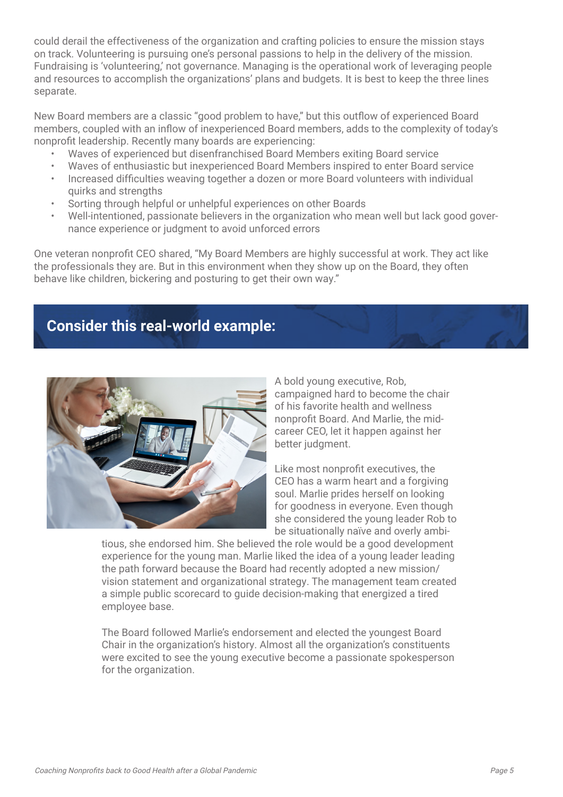could derail the effectiveness of the organization and crafting policies to ensure the mission stays on track. Volunteering is pursuing one's personal passions to help in the delivery of the mission. Fundraising is 'volunteering,' not governance. Managing is the operational work of leveraging people and resources to accomplish the organizations' plans and budgets. It is best to keep the three lines separate.

New Board members are a classic "good problem to have," but this outflow of experienced Board members, coupled with an inflow of inexperienced Board members, adds to the complexity of today's nonprofit leadership. Recently many boards are experiencing:

- Waves of experienced but disenfranchised Board Members exiting Board service
- Waves of enthusiastic but inexperienced Board Members inspired to enter Board service
- Increased difficulties weaving together a dozen or more Board volunteers with individual quirks and strengths
- Sorting through helpful or unhelpful experiences on other Boards
- Well-intentioned, passionate believers in the organization who mean well but lack good governance experience or judgment to avoid unforced errors

One veteran nonprofit CEO shared, "My Board Members are highly successful at work. They act like the professionals they are. But in this environment when they show up on the Board, they often behave like children, bickering and posturing to get their own way."

## **Consider this real-world example:**



A bold young executive, Rob, campaigned hard to become the chair of his favorite health and wellness nonprofit Board. And Marlie, the midcareer CEO, let it happen against her better judgment.

Like most nonprofit executives, the CEO has a warm heart and a forgiving soul. Marlie prides herself on looking for goodness in everyone. Even though she considered the young leader Rob to be situationally naïve and overly ambi-

tious, she endorsed him. She believed the role would be a good development experience for the young man. Marlie liked the idea of a young leader leading the path forward because the Board had recently adopted a new mission/ vision statement and organizational strategy. The management team created a simple public scorecard to guide decision-making that energized a tired employee base.

The Board followed Marlie's endorsement and elected the youngest Board Chair in the organization's history. Almost all the organization's constituents were excited to see the young executive become a passionate spokesperson for the organization.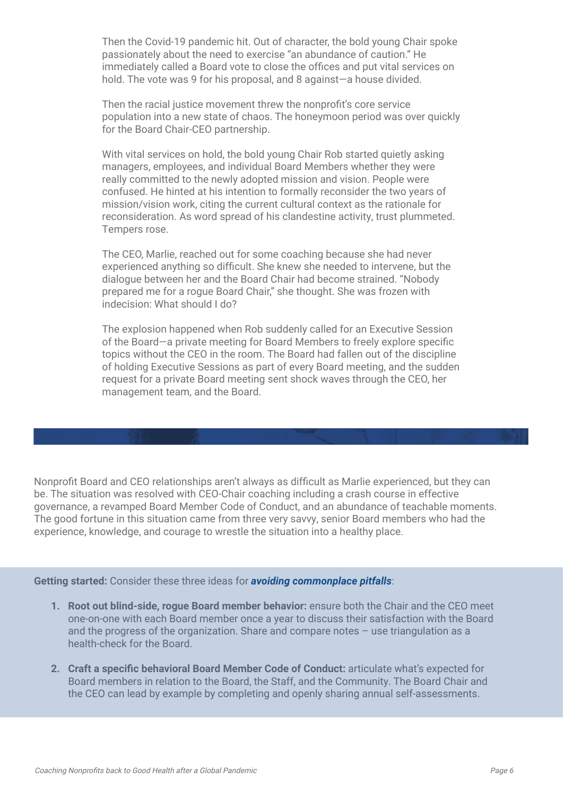Then the Covid-19 pandemic hit. Out of character, the bold young Chair spoke passionately about the need to exercise "an abundance of caution." He immediately called a Board vote to close the offices and put vital services on hold. The vote was 9 for his proposal, and 8 against-a house divided.

Then the racial justice movement threw the nonprofit's core service population into a new state of chaos. The honeymoon period was over quickly for the Board Chair-CEO partnership.

With vital services on hold, the bold young Chair Rob started quietly asking managers, employees, and individual Board Members whether they were really committed to the newly adopted mission and vision. People were confused. He hinted at his intention to formally reconsider the two years of mission/vision work, citing the current cultural context as the rationale for reconsideration. As word spread of his clandestine activity, trust plummeted. Tempers rose.

The CEO, Marlie, reached out for some coaching because she had never experienced anything so difficult. She knew she needed to intervene, but the dialogue between her and the Board Chair had become strained. "Nobody prepared me for a rogue Board Chair," she thought. She was frozen with indecision: What should I do?

The explosion happened when Rob suddenly called for an Executive Session of the Board—a private meeting for Board Members to freely explore specific topics without the CEO in the room. The Board had fallen out of the discipline of holding Executive Sessions as part of every Board meeting, and the sudden request for a private Board meeting sent shock waves through the CEO, her management team, and the Board.

Nonprofit Board and CEO relationships aren't always as difficult as Marlie experienced, but they can be. The situation was resolved with CEO-Chair coaching including a crash course in effective governance, a revamped Board Member Code of Conduct, and an abundance of teachable moments. The good fortune in this situation came from three very savvy, senior Board members who had the experience, knowledge, and courage to wrestle the situation into a healthy place.

**Getting started:** Consider these three ideas for *avoiding commonplace pitfalls*:

- **1. Root out blind-side, rogue Board member behavior:** ensure both the Chair and the CEO meet one-on-one with each Board member once a year to discuss their satisfaction with the Board and the progress of the organization. Share and compare notes – use triangulation as a health-check for the Board.
- **2. Craft a specific behavioral Board Member Code of Conduct:** articulate what's expected for Board members in relation to the Board, the Staff, and the Community. The Board Chair and the CEO can lead by example by completing and openly sharing annual self-assessments.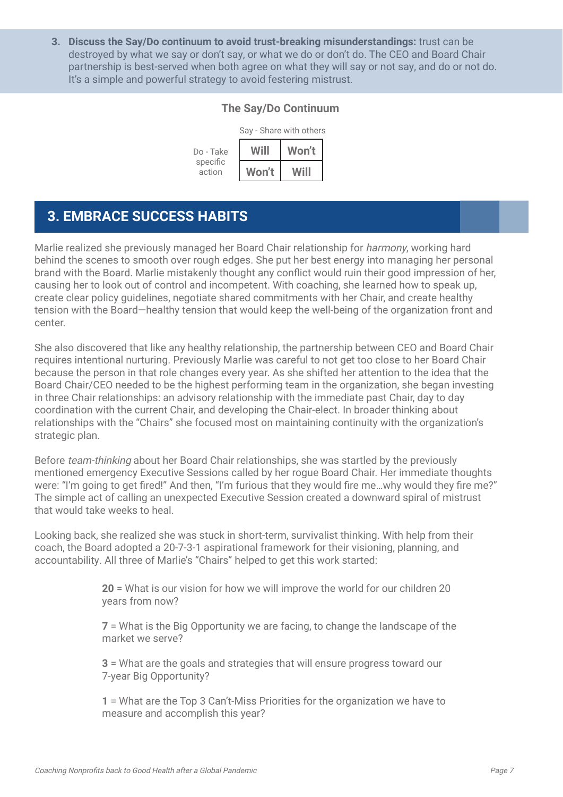**3. Discuss the Say/Do continuum to avoid trust-breaking misunderstandings:** trust can be destroyed by what we say or don't say, or what we do or don't do. The CEO and Board Chair partnership is best-served when both agree on what they will say or not say, and do or not do. It's a simple and powerful strategy to avoid festering mistrust.

#### **The Say/Do Continuum**



#### **3. EMBRACE SUCCESS HABITS**

Marlie realized she previously managed her Board Chair relationship for harmony, working hard behind the scenes to smooth over rough edges. She put her best energy into managing her personal brand with the Board. Marlie mistakenly thought any conflict would ruin their good impression of her, causing her to look out of control and incompetent. With coaching, she learned how to speak up, create clear policy guidelines, negotiate shared commitments with her Chair, and create healthy tension with the Board—healthy tension that would keep the well-being of the organization front and center.

She also discovered that like any healthy relationship, the partnership between CEO and Board Chair requires intentional nurturing. Previously Marlie was careful to not get too close to her Board Chair because the person in that role changes every year. As she shifted her attention to the idea that the Board Chair/CEO needed to be the highest performing team in the organization, she began investing in three Chair relationships: an advisory relationship with the immediate past Chair, day to day coordination with the current Chair, and developing the Chair-elect. In broader thinking about relationships with the "Chairs" she focused most on maintaining continuity with the organization's strategic plan.

Before team-thinking about her Board Chair relationships, she was startled by the previously mentioned emergency Executive Sessions called by her rogue Board Chair. Her immediate thoughts were: "I'm going to get fired!" And then, "I'm furious that they would fire me…why would they fire me?" The simple act of calling an unexpected Executive Session created a downward spiral of mistrust that would take weeks to heal.

Looking back, she realized she was stuck in short-term, survivalist thinking. With help from their coach, the Board adopted a 20-7-3-1 aspirational framework for their visioning, planning, and accountability. All three of Marlie's "Chairs" helped to get this work started:

> **20** = What is our vision for how we will improve the world for our children 20 years from now?

**7** = What is the Big Opportunity we are facing, to change the landscape of the market we serve?

**3** = What are the goals and strategies that will ensure progress toward our 7-year Big Opportunity?

**1** = What are the Top 3 Can't-Miss Priorities for the organization we have to measure and accomplish this year?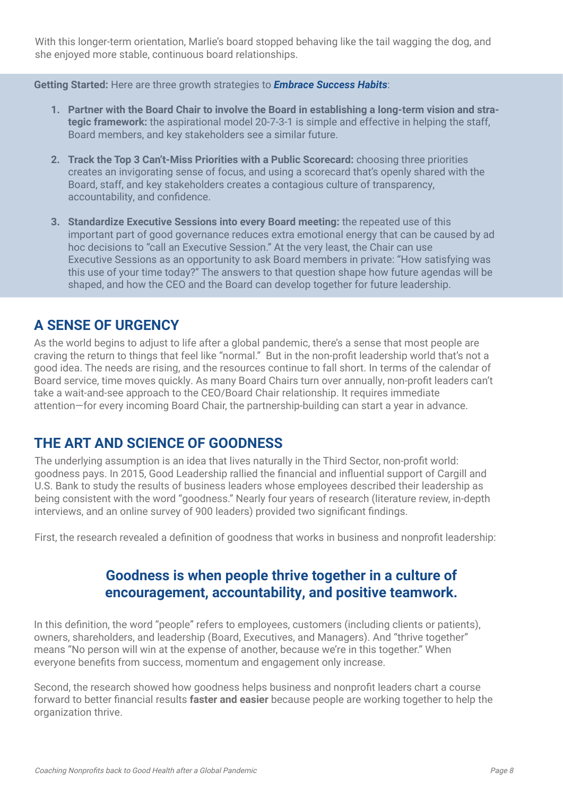With this longer-term orientation, Marlie's board stopped behaving like the tail wagging the dog, and she enjoyed more stable, continuous board relationships.

**Getting Started:** Here are three growth strategies to *Embrace Success Habits*:

- **1. Partner with the Board Chair to involve the Board in establishing a long-term vision and strategic framework:** the aspirational model 20-7-3-1 is simple and effective in helping the staff, Board members, and key stakeholders see a similar future.
- **2. Track the Top 3 Can't-Miss Priorities with a Public Scorecard:** choosing three priorities creates an invigorating sense of focus, and using a scorecard that's openly shared with the Board, staff, and key stakeholders creates a contagious culture of transparency, accountability, and confidence.
- **3. Standardize Executive Sessions into every Board meeting:** the repeated use of this important part of good governance reduces extra emotional energy that can be caused by ad hoc decisions to "call an Executive Session." At the very least, the Chair can use Executive Sessions as an opportunity to ask Board members in private: "How satisfying was this use of your time today?" The answers to that question shape how future agendas will be shaped, and how the CEO and the Board can develop together for future leadership.

## **A SENSE OF URGENCY**

As the world begins to adjust to life after a global pandemic, there's a sense that most people are craving the return to things that feel like "normal." But in the non-profit leadership world that's not a good idea. The needs are rising, and the resources continue to fall short. In terms of the calendar of Board service, time moves quickly. As many Board Chairs turn over annually, non-profit leaders can't take a wait-and-see approach to the CEO/Board Chair relationship. It requires immediate attention—for every incoming Board Chair, the partnership-building can start a year in advance.

## **THE ART AND SCIENCE OF GOODNESS**

The underlying assumption is an idea that lives naturally in the Third Sector, non-profit world: goodness pays. In 2015, Good Leadership rallied the financial and influential support of Cargill and U.S. Bank to study the results of business leaders whose employees described their leadership as being consistent with the word "goodness." Nearly four years of research (literature review, in-depth interviews, and an online survey of 900 leaders) provided two significant findings.

First, the research revealed a definition of goodness that works in business and nonprofit leadership:

## **Goodness is when people thrive together in a culture of encouragement, accountability, and positive teamwork.**

In this definition, the word "people" refers to employees, customers (including clients or patients), owners, shareholders, and leadership (Board, Executives, and Managers). And "thrive together" means "No person will win at the expense of another, because we're in this together." When everyone benefits from success, momentum and engagement only increase.

Second, the research showed how goodness helps business and nonprofit leaders chart a course forward to better financial results **faster and easier** because people are working together to help the organization thrive.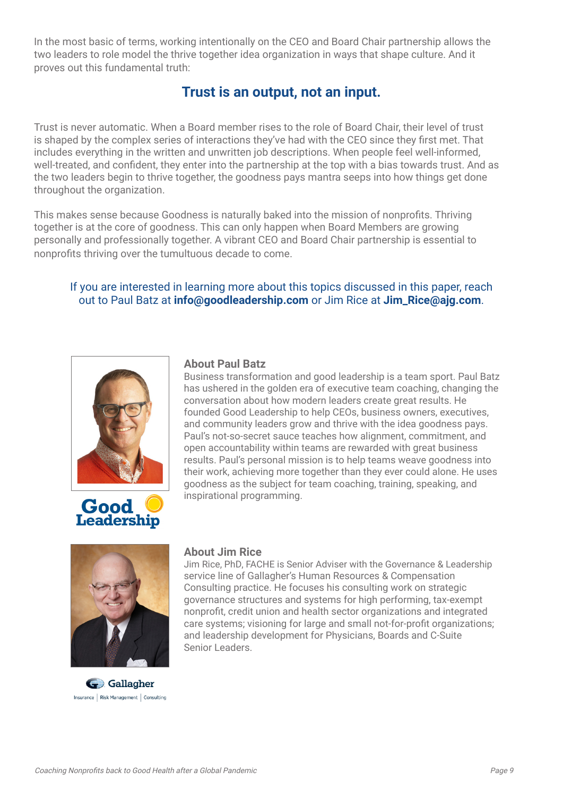In the most basic of terms, working intentionally on the CEO and Board Chair partnership allows the two leaders to role model the thrive together idea organization in ways that shape culture. And it proves out this fundamental truth:

## **Trust is an output, not an input.**

Trust is never automatic. When a Board member rises to the role of Board Chair, their level of trust is shaped by the complex series of interactions they've had with the CEO since they first met. That includes everything in the written and unwritten job descriptions. When people feel well-informed, well-treated, and confident, they enter into the partnership at the top with a bias towards trust. And as the two leaders begin to thrive together, the goodness pays mantra seeps into how things get done throughout the organization.

This makes sense because Goodness is naturally baked into the mission of nonprofits. Thriving together is at the core of goodness. This can only happen when Board Members are growing personally and professionally together. A vibrant CEO and Board Chair partnership is essential to nonprofits thriving over the tumultuous decade to come.

#### If you are interested in learning more about this topics discussed in this paper, reach out to Paul Batz at **info@goodleadership.com** or Jim Rice at **Jim\_Rice@ajg.com**.





#### **About Paul Batz**

Business transformation and good leadership is a team sport. Paul Batz has ushered in the golden era of executive team coaching, changing the conversation about how modern leaders create great results. He founded Good Leadership to help CEOs, business owners, executives, and community leaders grow and thrive with the idea goodness pays. Paul's not-so-secret sauce teaches how alignment, commitment, and open accountability within teams are rewarded with great business results. Paul's personal mission is to help teams weave goodness into their work, achieving more together than they ever could alone. He uses goodness as the subject for team coaching, training, speaking, and inspirational programming.



G Gallagher Insurance | Risk Management | Consulting

#### **About Jim Rice**

Jim Rice, PhD, FACHE is Senior Adviser with the Governance & Leadership service line of Gallagher's Human Resources & Compensation Consulting practice. He focuses his consulting work on strategic governance structures and systems for high performing, tax-exempt nonprofit, credit union and health sector organizations and integrated care systems; visioning for large and small not-for-profit organizations; and leadership development for Physicians, Boards and C-Suite Senior Leaders.